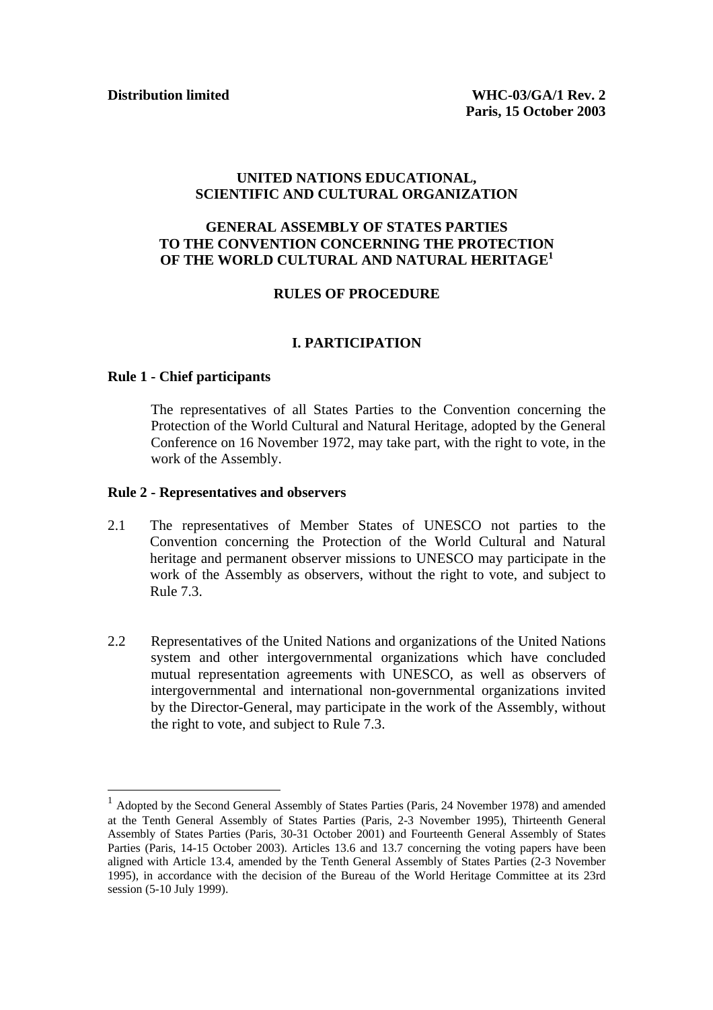#### **UNITED NATIONS EDUCATIONAL, SCIENTIFIC AND CULTURAL ORGANIZATION**

# **GENERAL ASSEMBLY OF STATES PARTIES TO THE CONVENTION CONCERNING THE PROTECTION OF THE WORLD CULTURAL AND NATURAL HERITAGE<sup>1</sup>**

#### **RULES OF PROCEDURE**

#### **I. PARTICIPATION**

#### **Rule 1 - Chief participants**

 $\overline{a}$ 

The representatives of all States Parties to the Convention concerning the Protection of the World Cultural and Natural Heritage, adopted by the General Conference on 16 November 1972, may take part, with the right to vote, in the work of the Assembly.

#### **Rule 2 - Representatives and observers**

- 2.1 The representatives of Member States of UNESCO not parties to the Convention concerning the Protection of the World Cultural and Natural heritage and permanent observer missions to UNESCO may participate in the work of the Assembly as observers, without the right to vote, and subject to Rule 7.3.
- 2.2 Representatives of the United Nations and organizations of the United Nations system and other intergovernmental organizations which have concluded mutual representation agreements with UNESCO, as well as observers of intergovernmental and international non-governmental organizations invited by the Director-General, may participate in the work of the Assembly, without the right to vote, and subject to Rule 7.3.

<sup>1</sup> Adopted by the Second General Assembly of States Parties (Paris, 24 November 1978) and amended at the Tenth General Assembly of States Parties (Paris, 2-3 November 1995), Thirteenth General Assembly of States Parties (Paris, 30-31 October 2001) and Fourteenth General Assembly of States Parties (Paris, 14-15 October 2003). Articles 13.6 and 13.7 concerning the voting papers have been aligned with Article 13.4, amended by the Tenth General Assembly of States Parties (2-3 November 1995), in accordance with the decision of the Bureau of the World Heritage Committee at its 23rd session (5-10 July 1999).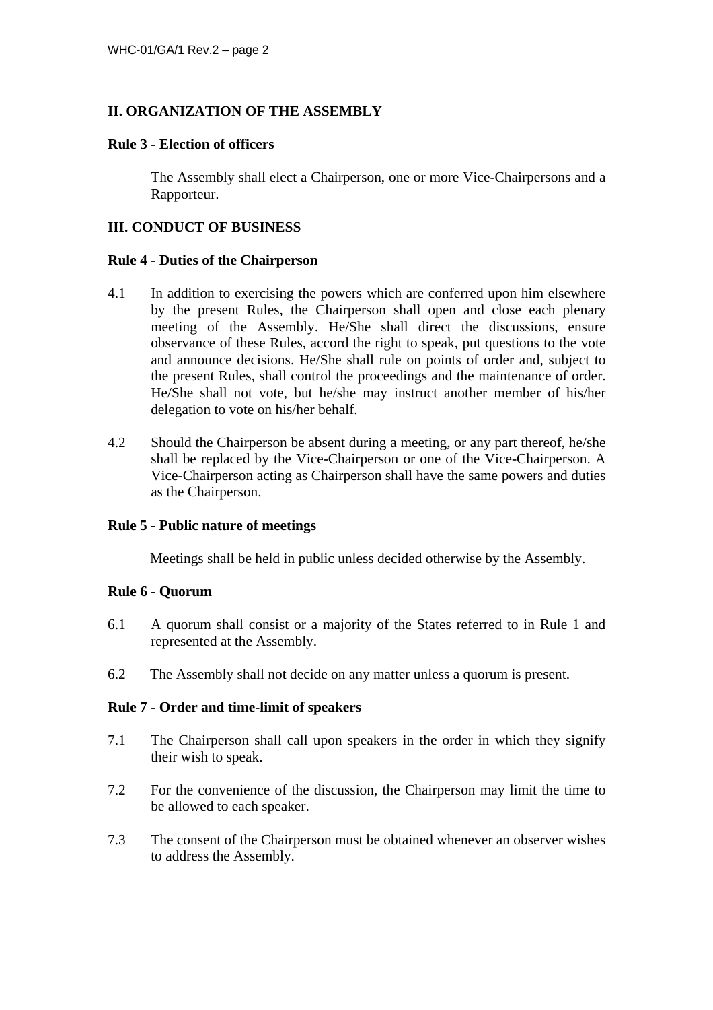## **II. ORGANIZATION OF THE ASSEMBLY**

#### **Rule 3 - Election of officers**

The Assembly shall elect a Chairperson, one or more Vice-Chairpersons and a Rapporteur.

## **III. CONDUCT OF BUSINESS**

#### **Rule 4 - Duties of the Chairperson**

- 4.1 In addition to exercising the powers which are conferred upon him elsewhere by the present Rules, the Chairperson shall open and close each plenary meeting of the Assembly. He/She shall direct the discussions, ensure observance of these Rules, accord the right to speak, put questions to the vote and announce decisions. He/She shall rule on points of order and, subject to the present Rules, shall control the proceedings and the maintenance of order. He/She shall not vote, but he/she may instruct another member of his/her delegation to vote on his/her behalf.
- 4.2 Should the Chairperson be absent during a meeting, or any part thereof, he/she shall be replaced by the Vice-Chairperson or one of the Vice-Chairperson. A Vice-Chairperson acting as Chairperson shall have the same powers and duties as the Chairperson.

## **Rule 5 - Public nature of meetings**

Meetings shall be held in public unless decided otherwise by the Assembly.

#### **Rule 6 - Quorum**

- 6.1 A quorum shall consist or a majority of the States referred to in Rule 1 and represented at the Assembly.
- 6.2 The Assembly shall not decide on any matter unless a quorum is present.

## **Rule 7 - Order and time-limit of speakers**

- 7.1 The Chairperson shall call upon speakers in the order in which they signify their wish to speak.
- 7.2 For the convenience of the discussion, the Chairperson may limit the time to be allowed to each speaker.
- 7.3 The consent of the Chairperson must be obtained whenever an observer wishes to address the Assembly.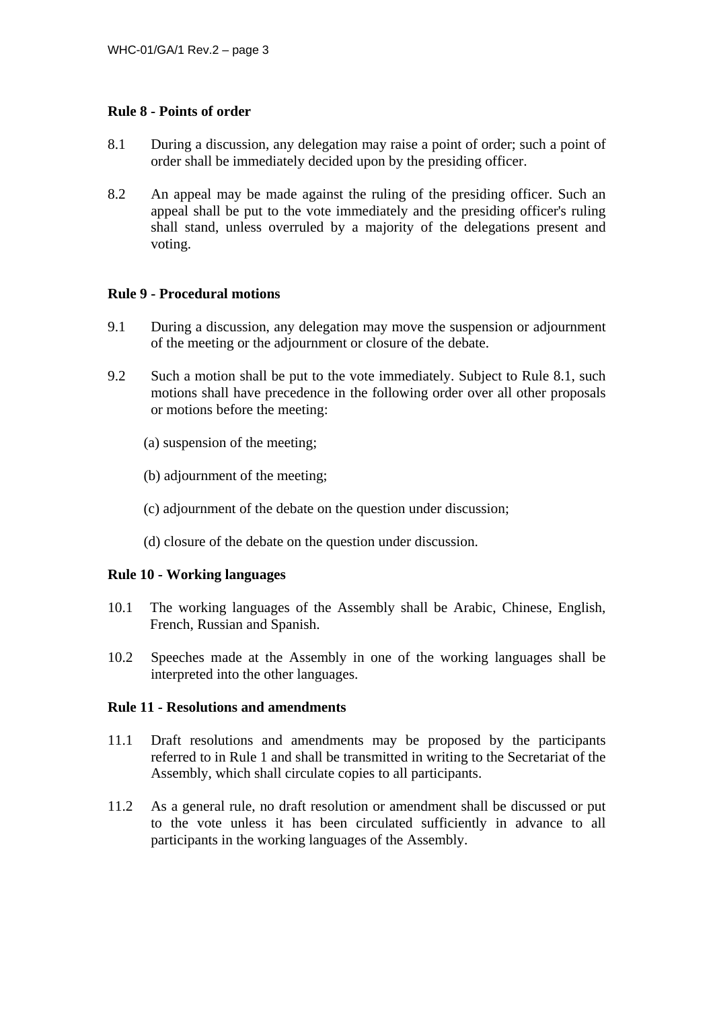## **Rule 8 - Points of order**

- 8.1 During a discussion, any delegation may raise a point of order; such a point of order shall be immediately decided upon by the presiding officer.
- 8.2 An appeal may be made against the ruling of the presiding officer. Such an appeal shall be put to the vote immediately and the presiding officer's ruling shall stand, unless overruled by a majority of the delegations present and voting.

## **Rule 9 - Procedural motions**

- 9.1 During a discussion, any delegation may move the suspension or adjournment of the meeting or the adjournment or closure of the debate.
- 9.2 Such a motion shall be put to the vote immediately. Subject to Rule 8.1, such motions shall have precedence in the following order over all other proposals or motions before the meeting:
	- (a) suspension of the meeting;
	- (b) adjournment of the meeting;
	- (c) adjournment of the debate on the question under discussion;
	- (d) closure of the debate on the question under discussion.

#### **Rule 10 - Working languages**

- 10.1 The working languages of the Assembly shall be Arabic, Chinese, English, French, Russian and Spanish.
- 10.2 Speeches made at the Assembly in one of the working languages shall be interpreted into the other languages.

## **Rule 11 - Resolutions and amendments**

- 11.1 Draft resolutions and amendments may be proposed by the participants referred to in Rule 1 and shall be transmitted in writing to the Secretariat of the Assembly, which shall circulate copies to all participants.
- 11.2 As a general rule, no draft resolution or amendment shall be discussed or put to the vote unless it has been circulated sufficiently in advance to all participants in the working languages of the Assembly.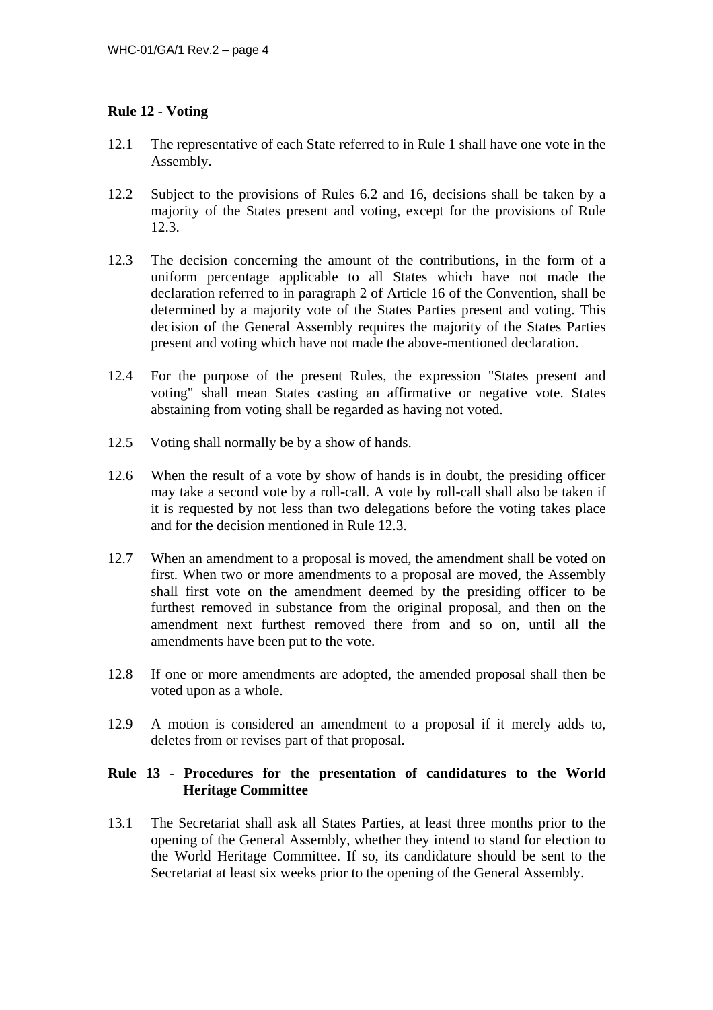# **Rule 12 - Voting**

- 12.1 The representative of each State referred to in Rule 1 shall have one vote in the Assembly.
- 12.2 Subject to the provisions of Rules 6.2 and 16, decisions shall be taken by a majority of the States present and voting, except for the provisions of Rule 12.3.
- 12.3 The decision concerning the amount of the contributions, in the form of a uniform percentage applicable to all States which have not made the declaration referred to in paragraph 2 of Article 16 of the Convention, shall be determined by a majority vote of the States Parties present and voting. This decision of the General Assembly requires the majority of the States Parties present and voting which have not made the above-mentioned declaration.
- 12.4 For the purpose of the present Rules, the expression "States present and voting" shall mean States casting an affirmative or negative vote. States abstaining from voting shall be regarded as having not voted.
- 12.5 Voting shall normally be by a show of hands.
- 12.6 When the result of a vote by show of hands is in doubt, the presiding officer may take a second vote by a roll-call. A vote by roll-call shall also be taken if it is requested by not less than two delegations before the voting takes place and for the decision mentioned in Rule 12.3.
- 12.7 When an amendment to a proposal is moved, the amendment shall be voted on first. When two or more amendments to a proposal are moved, the Assembly shall first vote on the amendment deemed by the presiding officer to be furthest removed in substance from the original proposal, and then on the amendment next furthest removed there from and so on, until all the amendments have been put to the vote.
- 12.8 If one or more amendments are adopted, the amended proposal shall then be voted upon as a whole.
- 12.9 A motion is considered an amendment to a proposal if it merely adds to, deletes from or revises part of that proposal.

# **Rule 13 - Procedures for the presentation of candidatures to the World Heritage Committee**

13.1 The Secretariat shall ask all States Parties, at least three months prior to the opening of the General Assembly, whether they intend to stand for election to the World Heritage Committee. If so, its candidature should be sent to the Secretariat at least six weeks prior to the opening of the General Assembly.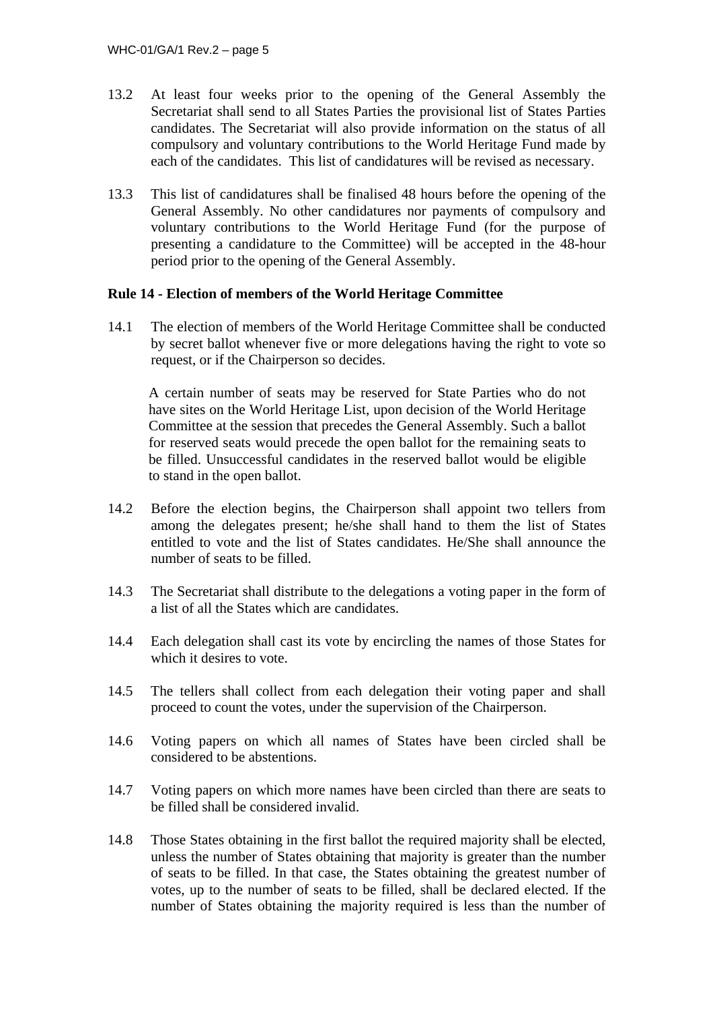- 13.2 At least four weeks prior to the opening of the General Assembly the Secretariat shall send to all States Parties the provisional list of States Parties candidates. The Secretariat will also provide information on the status of all compulsory and voluntary contributions to the World Heritage Fund made by each of the candidates. This list of candidatures will be revised as necessary.
- 13.3 This list of candidatures shall be finalised 48 hours before the opening of the General Assembly. No other candidatures nor payments of compulsory and voluntary contributions to the World Heritage Fund (for the purpose of presenting a candidature to the Committee) will be accepted in the 48-hour period prior to the opening of the General Assembly.

# **Rule 14 - Election of members of the World Heritage Committee**

14.1 The election of members of the World Heritage Committee shall be conducted by secret ballot whenever five or more delegations having the right to vote so request, or if the Chairperson so decides.

A certain number of seats may be reserved for State Parties who do not have sites on the World Heritage List, upon decision of the World Heritage Committee at the session that precedes the General Assembly. Such a ballot for reserved seats would precede the open ballot for the remaining seats to be filled. Unsuccessful candidates in the reserved ballot would be eligible to stand in the open ballot.

- 14.2 Before the election begins, the Chairperson shall appoint two tellers from among the delegates present; he/she shall hand to them the list of States entitled to vote and the list of States candidates. He/She shall announce the number of seats to be filled.
- 14.3 The Secretariat shall distribute to the delegations a voting paper in the form of a list of all the States which are candidates.
- 14.4 Each delegation shall cast its vote by encircling the names of those States for which it desires to vote.
- 14.5 The tellers shall collect from each delegation their voting paper and shall proceed to count the votes, under the supervision of the Chairperson.
- 14.6 Voting papers on which all names of States have been circled shall be considered to be abstentions.
- 14.7 Voting papers on which more names have been circled than there are seats to be filled shall be considered invalid.
- 14.8 Those States obtaining in the first ballot the required majority shall be elected, unless the number of States obtaining that majority is greater than the number of seats to be filled. In that case, the States obtaining the greatest number of votes, up to the number of seats to be filled, shall be declared elected. If the number of States obtaining the majority required is less than the number of